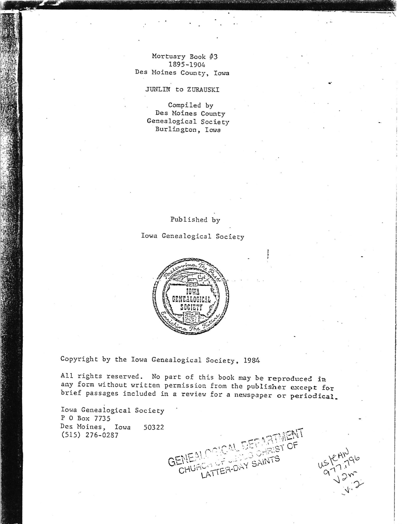Mortuary Book #3 1895-1904 Des Moines County, Iowa

JUNLIN to ZURAUSKI

Compiled by Des Moines County Genealogical Society Burlington, Iowa

Published by

Iowa Genealogical Society



Copyright by the Iowa Genealogical Society, 1984

All rights reserved. No part of this book may be reproduced in any form without written permission from the publisher except for brief passages included in a review for a newspaper or periodical.

GENEA

CHUi

Iowa Genealogical Society P 0 Box 7735 Des Moines, Iowa 50322  $(515)$  276-0287

ST OF

ATTER-DAY SAINTS